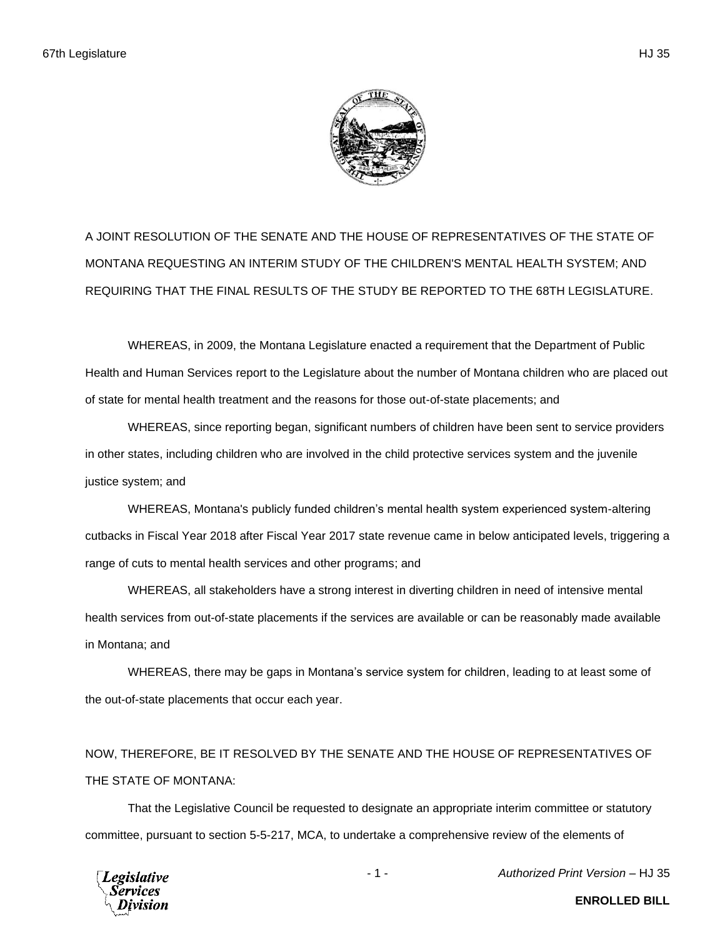A JOINT RESOLUTION OF THE SENATE AND THE HOUSE OF REPRESENTATIVES OF THE STATE OF MONTANA REQUESTING AN INTERIM STUDY OF THE CHILDREN'S MENTAL HEALTH SYSTEM; AND REQUIRING THAT THE FINAL RESULTS OF THE STUDY BE REPORTED TO THE 68TH LEGISLATURE.

WHEREAS, in 2009, the Montana Legislature enacted a requirement that the Department of Public Health and Human Services report to the Legislature about the number of Montana children who are placed out of state for mental health treatment and the reasons for those out-of-state placements; and

WHEREAS, since reporting began, significant numbers of children have been sent to service providers in other states, including children who are involved in the child protective services system and the juvenile justice system; and

WHEREAS, Montana's publicly funded children's mental health system experienced system-altering cutbacks in Fiscal Year 2018 after Fiscal Year 2017 state revenue came in below anticipated levels, triggering a range of cuts to mental health services and other programs; and

WHEREAS, all stakeholders have a strong interest in diverting children in need of intensive mental health services from out-of-state placements if the services are available or can be reasonably made available in Montana; and

WHEREAS, there may be gaps in Montana's service system for children, leading to at least some of the out-of-state placements that occur each year.

NOW, THEREFORE, BE IT RESOLVED BY THE SENATE AND THE HOUSE OF REPRESENTATIVES OF THE STATE OF MONTANA:

That the Legislative Council be requested to designate an appropriate interim committee or statutory committee, pursuant to section 5-5-217, MCA, to undertake a comprehensive review of the elements of



- 1 - *Authorized Print Version* – HJ 35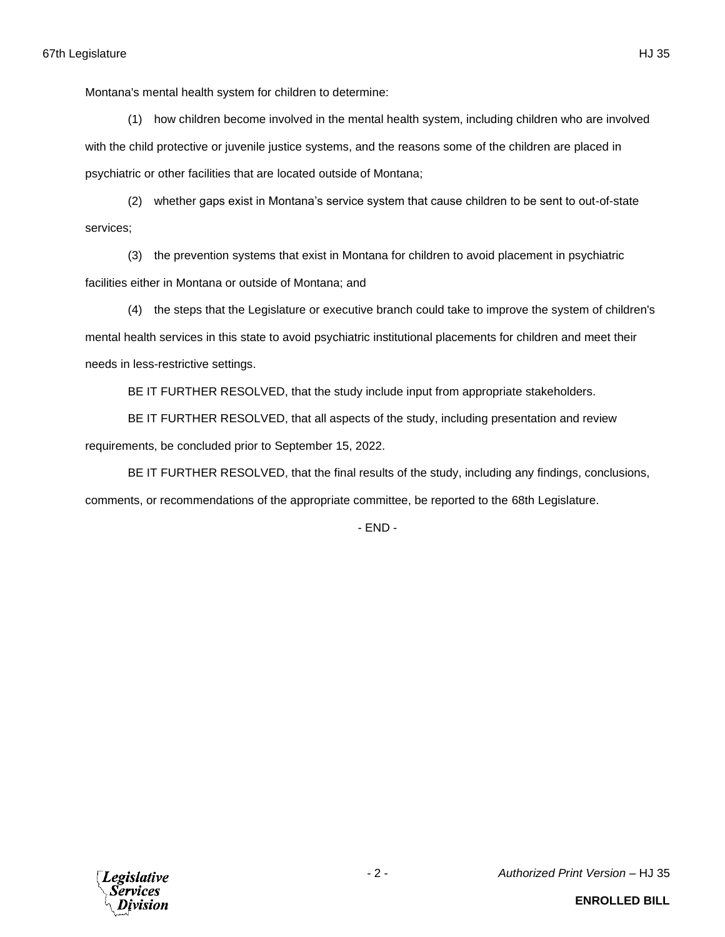Montana's mental health system for children to determine:

(1) how children become involved in the mental health system, including children who are involved with the child protective or juvenile justice systems, and the reasons some of the children are placed in psychiatric or other facilities that are located outside of Montana;

(2) whether gaps exist in Montana's service system that cause children to be sent to out-of-state services;

(3) the prevention systems that exist in Montana for children to avoid placement in psychiatric facilities either in Montana or outside of Montana; and

(4) the steps that the Legislature or executive branch could take to improve the system of children's mental health services in this state to avoid psychiatric institutional placements for children and meet their needs in less-restrictive settings.

BE IT FURTHER RESOLVED, that the study include input from appropriate stakeholders.

BE IT FURTHER RESOLVED, that all aspects of the study, including presentation and review requirements, be concluded prior to September 15, 2022.

BE IT FURTHER RESOLVED, that the final results of the study, including any findings, conclusions,

comments, or recommendations of the appropriate committee, be reported to the 68th Legislature.

- END -



**ENROLLED BILL**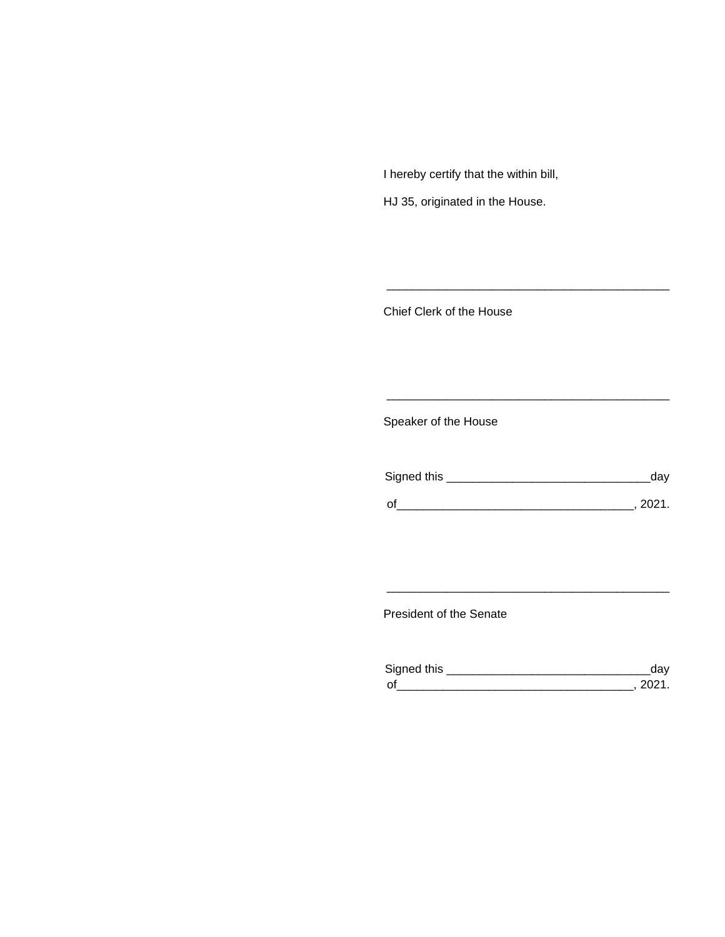I hereby certify that the within bill,

HJ 35, originated in the House.

Chief Clerk of the House

Speaker of the House

| Signed this | aav  |
|-------------|------|
| $\Omega$    | 2021 |

\_\_\_\_\_\_\_\_\_\_\_\_\_\_\_\_\_\_\_\_\_\_\_\_\_\_\_\_\_\_\_\_\_\_\_\_\_\_\_\_\_\_\_

\_\_\_\_\_\_\_\_\_\_\_\_\_\_\_\_\_\_\_\_\_\_\_\_\_\_\_\_\_\_\_\_\_\_\_\_\_\_\_\_\_\_\_

President of the Senate

| Signed this        |  |
|--------------------|--|
| $\mathsf{\Omega}'$ |  |

\_\_\_\_\_\_\_\_\_\_\_\_\_\_\_\_\_\_\_\_\_\_\_\_\_\_\_\_\_\_\_\_\_\_\_\_\_\_\_\_\_\_\_